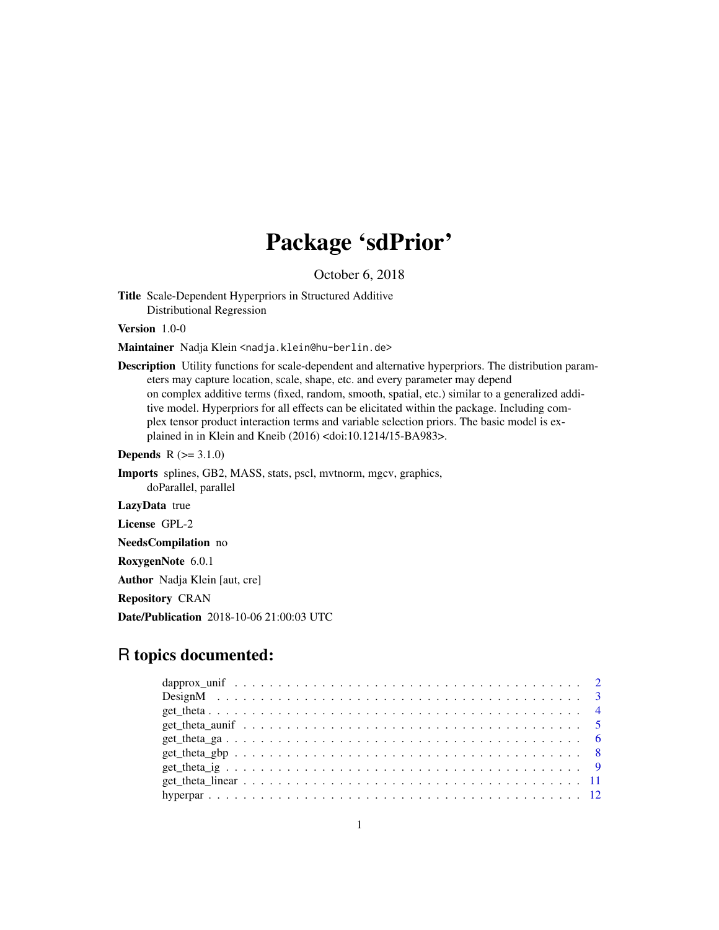# Package 'sdPrior'

October 6, 2018

<span id="page-0-0"></span>Title Scale-Dependent Hyperpriors in Structured Additive Distributional Regression

Version 1.0-0

Maintainer Nadja Klein <nadja.klein@hu-berlin.de>

Description Utility functions for scale-dependent and alternative hyperpriors. The distribution parameters may capture location, scale, shape, etc. and every parameter may depend on complex additive terms (fixed, random, smooth, spatial, etc.) similar to a generalized additive model. Hyperpriors for all effects can be elicitated within the package. Including complex tensor product interaction terms and variable selection priors. The basic model is explained in in Klein and Kneib (2016) <doi:10.1214/15-BA983>.

**Depends**  $R (= 3.1.0)$ 

Imports splines, GB2, MASS, stats, pscl, mvtnorm, mgcv, graphics, doParallel, parallel

LazyData true

License GPL-2

NeedsCompilation no

RoxygenNote 6.0.1

Author Nadja Klein [aut, cre]

Repository CRAN

Date/Publication 2018-10-06 21:00:03 UTC

# R topics documented:

| $get_{\text{theta\_s}}$ |  |
|-------------------------|--|
|                         |  |
|                         |  |
|                         |  |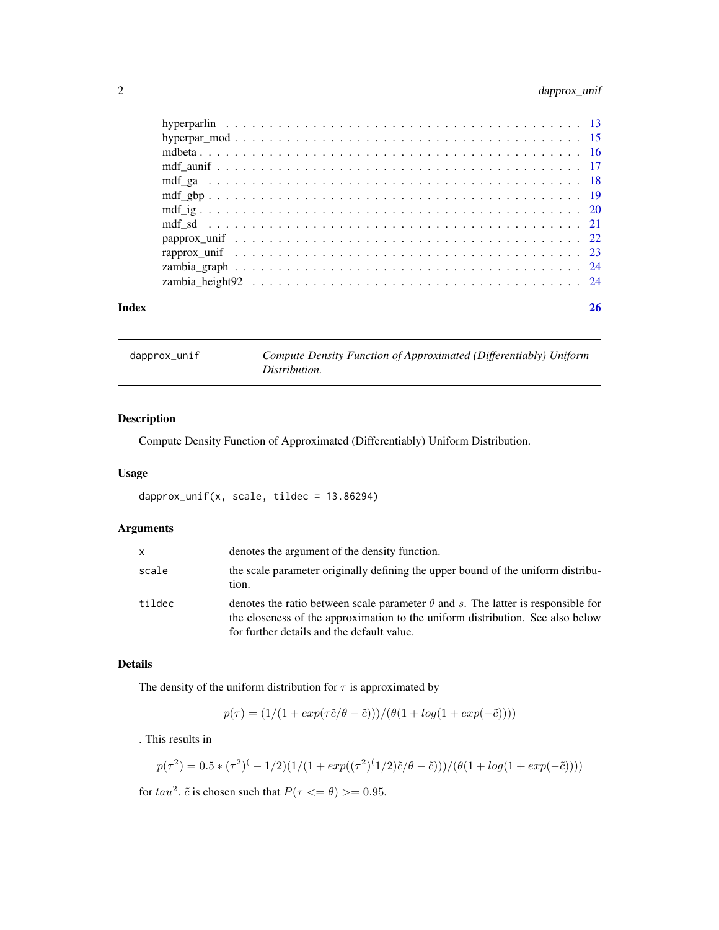# <span id="page-1-0"></span>2 dapprox\_unif

| Index | 26 |
|-------|----|
|       |    |
|       |    |
|       |    |
|       |    |
|       |    |
|       |    |
|       |    |
|       |    |
|       |    |
|       |    |
|       |    |
|       |    |

<span id="page-1-1"></span>

|  | dapprox_unif |  |  |
|--|--------------|--|--|
|  |              |  |  |
|  |              |  |  |

Compute Density Function of Approximated (Differentiably) Uniform *Distribution.*

# Description

Compute Density Function of Approximated (Differentiably) Uniform Distribution.

# Usage

dapprox\_unif(x, scale, tildec = 13.86294)

# Arguments

| X      | denotes the argument of the density function.                                                                                                                                                                           |
|--------|-------------------------------------------------------------------------------------------------------------------------------------------------------------------------------------------------------------------------|
| scale  | the scale parameter originally defining the upper bound of the uniform distribu-<br>tion.                                                                                                                               |
| tildec | denotes the ratio between scale parameter $\theta$ and s. The latter is responsible for<br>the closeness of the approximation to the uniform distribution. See also below<br>for further details and the default value. |

# Details

The density of the uniform distribution for  $\tau$  is approximated by

$$
p(\tau) = (1/(1 + exp(\tau \tilde{c}/\theta - \tilde{c}))) / (\theta(1 + log(1 + exp(-\tilde{c}))))
$$

. This results in

$$
p(\tau^2) = 0.5 * (\tau^2)^{-1/2} (1/(1 + exp((\tau^2)^{-1/2})\tilde{c}/\theta - \tilde{c})) / (\theta(1 + log(1 + exp(-\tilde{c}))))
$$

for  $tau^2$ .  $\tilde{c}$  is chosen such that  $P(\tau \le \theta) >= 0.95$ .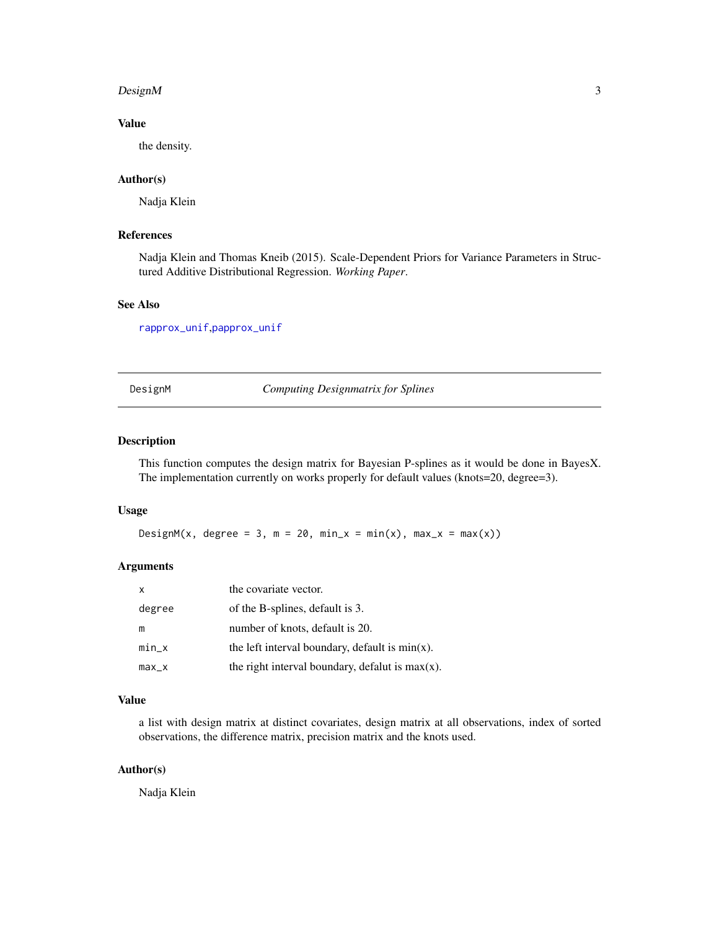#### <span id="page-2-0"></span> $Design M$  3

# Value

the density.

# Author(s)

Nadja Klein

# References

Nadja Klein and Thomas Kneib (2015). Scale-Dependent Priors for Variance Parameters in Structured Additive Distributional Regression. *Working Paper*.

# See Also

[rapprox\\_unif](#page-22-1),[papprox\\_unif](#page-21-1)

DesignM *Computing Designmatrix for Splines*

# Description

This function computes the design matrix for Bayesian P-splines as it would be done in BayesX. The implementation currently on works properly for default values (knots=20, degree=3).

#### Usage

DesignM(x, degree = 3,  $m = 20$ ,  $min_x = min(x)$ ,  $max_x = max(x)$ )

#### Arguments

| $\mathsf{x}$ | the covariate vector.                              |
|--------------|----------------------------------------------------|
| degree       | of the B-splines, default is 3.                    |
| m            | number of knots, default is 20.                    |
| $min_x$      | the left interval boundary, default is $min(x)$ .  |
| $max_x$      | the right interval boundary, defalut is $max(x)$ . |

# Value

a list with design matrix at distinct covariates, design matrix at all observations, index of sorted observations, the difference matrix, precision matrix and the knots used.

# Author(s)

Nadja Klein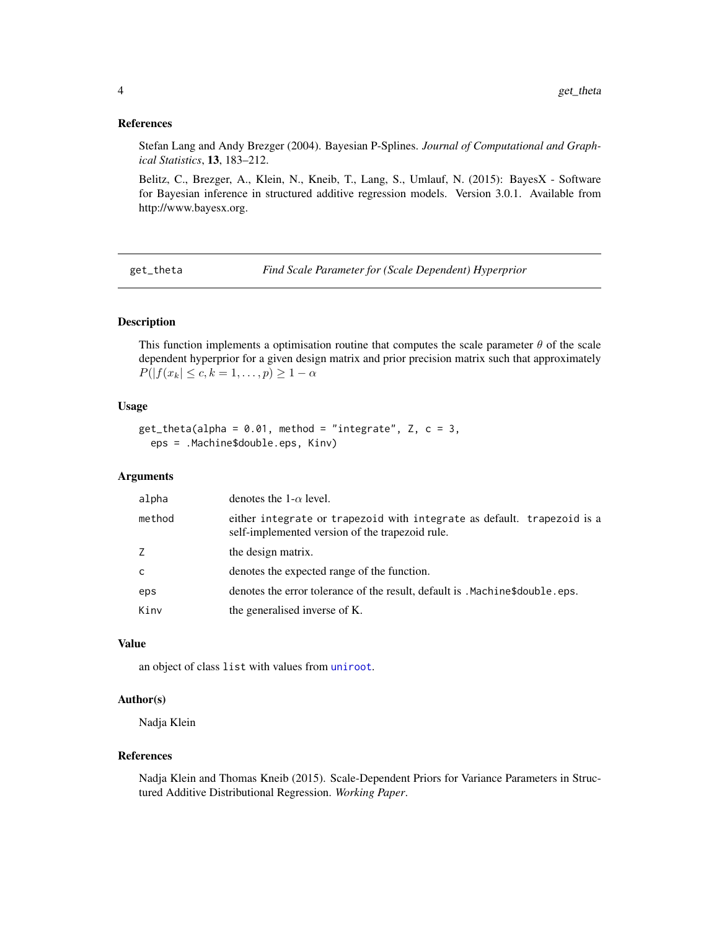### <span id="page-3-0"></span>References

Stefan Lang and Andy Brezger (2004). Bayesian P-Splines. *Journal of Computational and Graphical Statistics*, 13, 183–212.

Belitz, C., Brezger, A., Klein, N., Kneib, T., Lang, S., Umlauf, N. (2015): BayesX - Software for Bayesian inference in structured additive regression models. Version 3.0.1. Available from http://www.bayesx.org.

get\_theta *Find Scale Parameter for (Scale Dependent) Hyperprior*

# **Description**

This function implements a optimisation routine that computes the scale parameter  $\theta$  of the scale dependent hyperprior for a given design matrix and prior precision matrix such that approximately  $P(|f(x_k| \leq c, k = 1, \ldots, p) \geq 1 - \alpha)$ 

# Usage

```
get_{theta(alpha)} = 0.01, method = "integrate", Z, c = 3,
  eps = .Machine$double.eps, Kinv)
```
#### Arguments

| alpha  | denotes the 1- $\alpha$ level.                                                                                             |  |
|--------|----------------------------------------------------------------------------------------------------------------------------|--|
| method | either integrate or trapezoid with integrate as default. trapezoid is a<br>self-implemented version of the trapezoid rule. |  |
| Z      | the design matrix.                                                                                                         |  |
| C      | denotes the expected range of the function.                                                                                |  |
| eps    | denotes the error tolerance of the result, default is . Machine\$double.eps.                                               |  |
| Kinv   | the generalised inverse of K.                                                                                              |  |

# Value

an object of class list with values from [uniroot](#page-0-0).

#### Author(s)

Nadja Klein

#### References

Nadja Klein and Thomas Kneib (2015). Scale-Dependent Priors for Variance Parameters in Structured Additive Distributional Regression. *Working Paper*.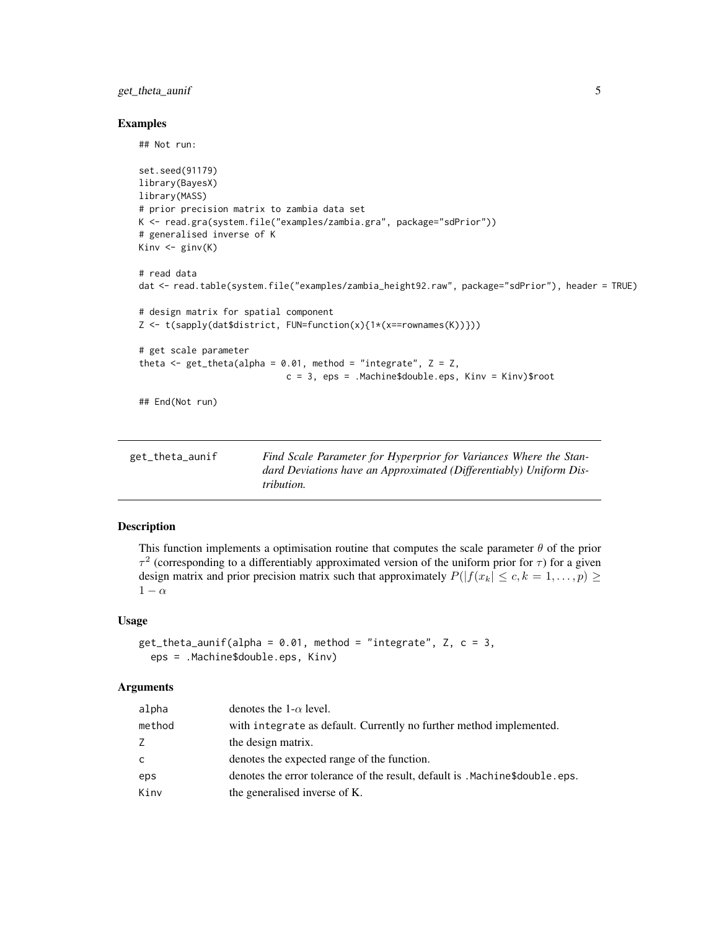# <span id="page-4-0"></span>get\_theta\_aunif 5

#### Examples

## Not run:

```
set.seed(91179)
library(BayesX)
library(MASS)
# prior precision matrix to zambia data set
K <- read.gra(system.file("examples/zambia.gra", package="sdPrior"))
# generalised inverse of K
Kinv \leftarrow ginv(K)# read data
dat <- read.table(system.file("examples/zambia_height92.raw", package="sdPrior"), header = TRUE)
# design matrix for spatial component
Z <- t(sapply(dat$district, FUN=function(x){1*(x==rownames(K))}))
# get scale parameter
theta \leq get_theta(alpha = 0.01, method = "integrate", Z = Z,
                            c = 3, eps = .Machine$double.eps, Kinv = Kinv)$root
## End(Not run)
```

| get_theta_aunif | Find Scale Parameter for Hyperprior for Variances Where the Stan-  |
|-----------------|--------------------------------------------------------------------|
|                 | dard Deviations have an Approximated (Differentiably) Uniform Dis- |
|                 | <i>tribution.</i>                                                  |

# Description

This function implements a optimisation routine that computes the scale parameter  $\theta$  of the prior  $\tau^2$  (corresponding to a differentiably approximated version of the uniform prior for  $\tau$ ) for a given design matrix and prior precision matrix such that approximately  $P(|f(x_k| \leq c, k = 1, ..., p) \geq$  $1 - \alpha$ 

# Usage

```
get_{theta\_aunif(alpha = 0.01, method = "integrate", Z, c = 3,eps = .Machine$double.eps, Kinv)
```

| alpha  | denotes the 1- $\alpha$ level.                                               |
|--------|------------------------------------------------------------------------------|
| method | with integrate as default. Currently no further method implemented.          |
| Ζ      | the design matrix.                                                           |
| C      | denotes the expected range of the function.                                  |
| eps    | denotes the error tolerance of the result, default is . Machine\$double.eps. |
| Kinv   | the generalised inverse of K.                                                |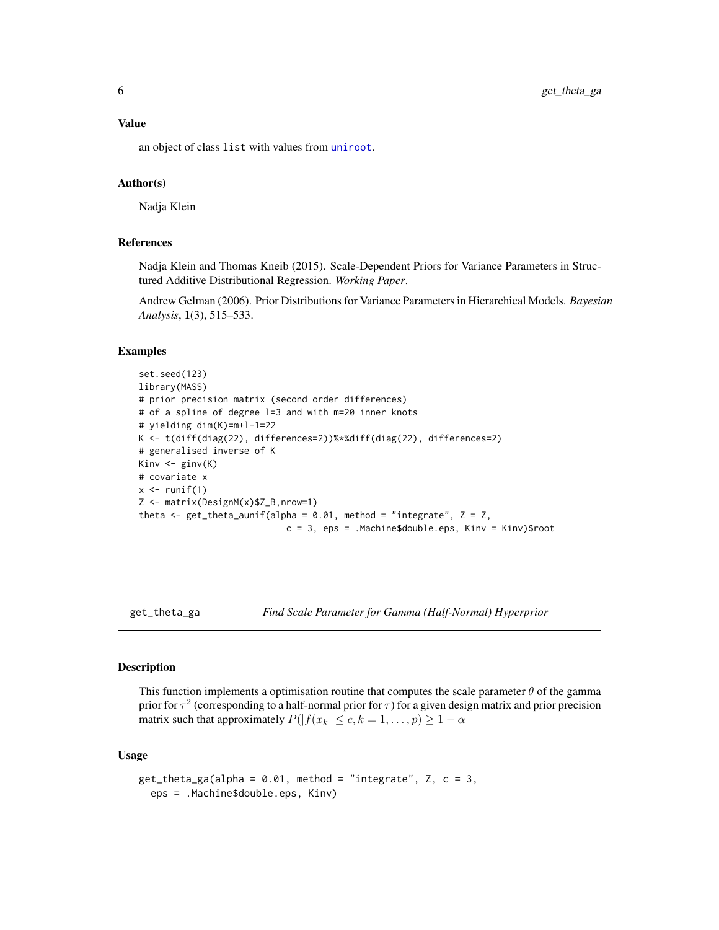# <span id="page-5-0"></span>Value

an object of class list with values from [uniroot](#page-0-0).

#### Author(s)

Nadja Klein

### References

Nadja Klein and Thomas Kneib (2015). Scale-Dependent Priors for Variance Parameters in Structured Additive Distributional Regression. *Working Paper*.

Andrew Gelman (2006). Prior Distributions for Variance Parameters in Hierarchical Models. *Bayesian Analysis*, 1(3), 515–533.

#### Examples

```
set.seed(123)
library(MASS)
# prior precision matrix (second order differences)
# of a spline of degree l=3 and with m=20 inner knots
# yielding dim(K)=m+l-1=22
K <- t(diff(diag(22), differences=2))%*%diff(diag(22), differences=2)
# generalised inverse of K
Kinv \leftarrow ginv(K)# covariate x
x \leftarrow runif(1)Z <- matrix(DesignM(x)$Z_B,nrow=1)
theta \leq get_theta_aunif(alpha = 0.01, method = "integrate", Z = Z,
                             c = 3, eps = .Machine$double.eps, Kinv = Kinv)$root
```
get\_theta\_ga *Find Scale Parameter for Gamma (Half-Normal) Hyperprior*

#### Description

This function implements a optimisation routine that computes the scale parameter  $\theta$  of the gamma prior for  $\tau^2$  (corresponding to a half-normal prior for  $\tau$ ) for a given design matrix and prior precision matrix such that approximately  $P(|f(x_k| \leq c, k = 1, \ldots, p) \geq 1 - \alpha$ 

#### Usage

```
get_{theta_{gal}(alpha = 0.01, method = "integrate", Z, c = 3,eps = .Machine$double.eps, Kinv)
```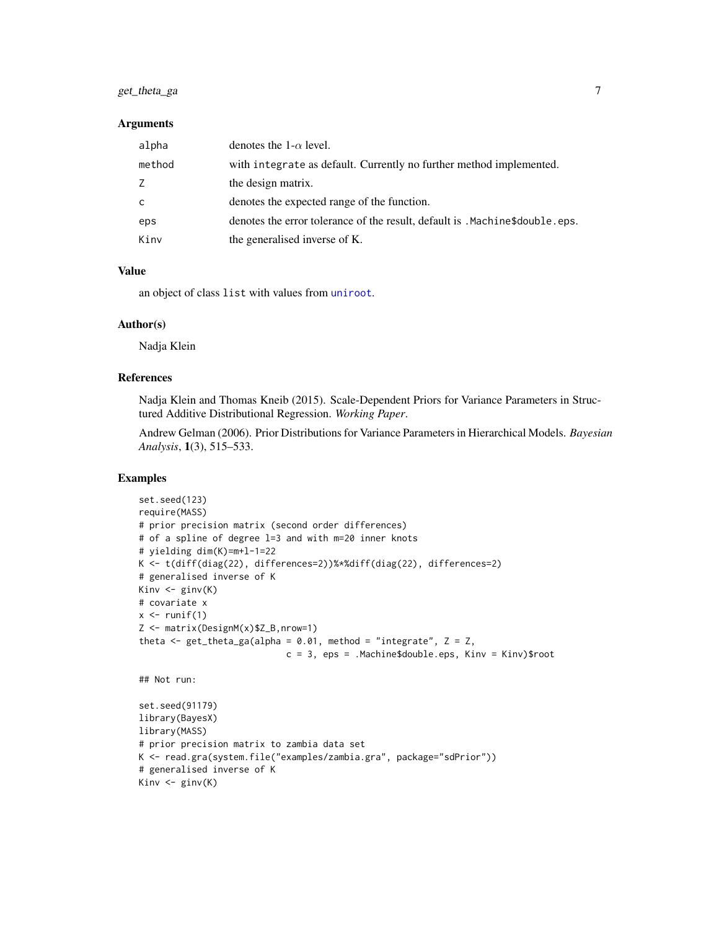# get\_theta\_ga 7

#### **Arguments**

| alpha  | denotes the $1-\alpha$ level.                                                |
|--------|------------------------------------------------------------------------------|
| method | with integrate as default. Currently no further method implemented.          |
| Z      | the design matrix.                                                           |
| c.     | denotes the expected range of the function.                                  |
| eps    | denotes the error tolerance of the result, default is . Machine\$double.eps. |
| Kinv   | the generalised inverse of K.                                                |

# Value

an object of class list with values from [uniroot](#page-0-0).

#### Author(s)

Nadja Klein

# References

Nadja Klein and Thomas Kneib (2015). Scale-Dependent Priors for Variance Parameters in Structured Additive Distributional Regression. *Working Paper*.

Andrew Gelman (2006). Prior Distributions for Variance Parameters in Hierarchical Models. *Bayesian Analysis*, 1(3), 515–533.

# Examples

```
set.seed(123)
require(MASS)
# prior precision matrix (second order differences)
# of a spline of degree l=3 and with m=20 inner knots
# yielding dim(K)=m+l-1=22
K <- t(diff(diag(22), differences=2))%*%diff(diag(22), differences=2)
# generalised inverse of K
Kinv <- ginv(K)
# covariate x
x \leftarrow runif(1)Z <- matrix(DesignM(x)$Z_B,nrow=1)
theta \leq get_theta_ga(alpha = 0.01, method = "integrate", Z = Z,
                            c = 3, eps = .Machine$double.eps, Kinv = Kinv)$root
## Not run:
set.seed(91179)
library(BayesX)
library(MASS)
# prior precision matrix to zambia data set
```

```
K <- read.gra(system.file("examples/zambia.gra", package="sdPrior"))
# generalised inverse of K
```

```
Kinv \leftarrow ginv(K)
```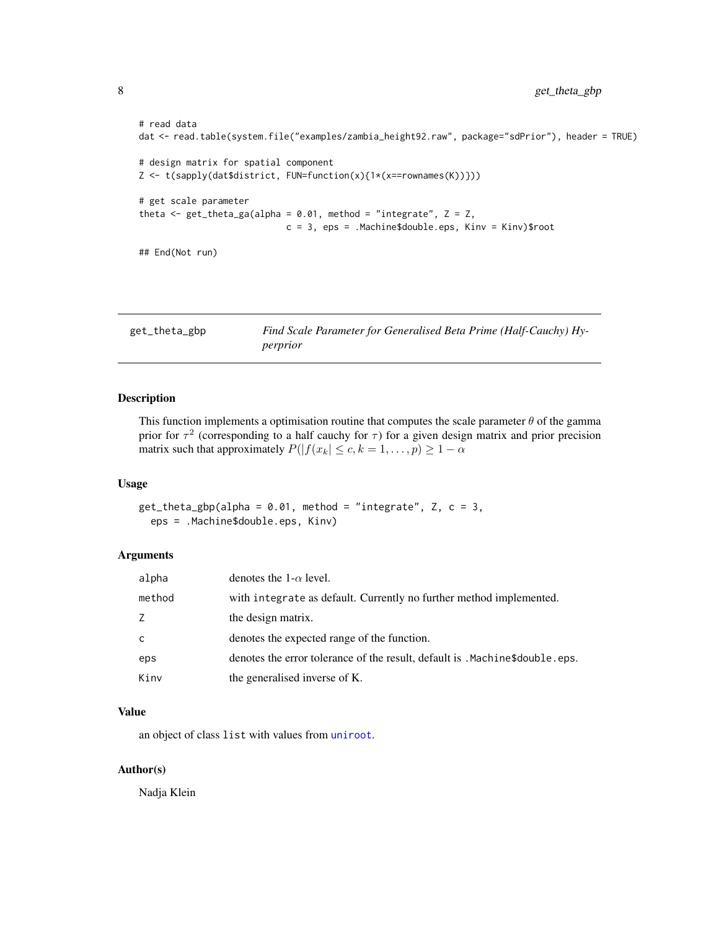```
# read data
dat <- read.table(system.file("examples/zambia_height92.raw", package="sdPrior"), header = TRUE)
# design matrix for spatial component
Z <- t(sapply(dat$district, FUN=function(x){1*(x==rownames(K))}))
# get scale parameter
theta \leq get_theta_ga(alpha = 0.01, method = "integrate", Z = Z,
                            c = 3, eps = .Machine$double.eps, Kinv = Kinv)$root
## End(Not run)
```
get\_theta\_gbp *Find Scale Parameter for Generalised Beta Prime (Half-Cauchy) Hyperprior*

# Description

This function implements a optimisation routine that computes the scale parameter  $\theta$  of the gamma prior for  $\tau^2$  (corresponding to a half cauchy for  $\tau$ ) for a given design matrix and prior precision matrix such that approximately  $P(|f(x_k| \leq c, k = 1, \ldots, p) \geq 1 - \alpha)$ 

# Usage

 $get_{theta_{g}pp(alpha = 0.01, method = "integrate", Z, c = 3,$ eps = .Machine\$double.eps, Kinv)

# Arguments

| alpha  | denotes the 1- $\alpha$ level.                                               |
|--------|------------------------------------------------------------------------------|
| method | with integrate as default. Currently no further method implemented.          |
| Z      | the design matrix.                                                           |
| C      | denotes the expected range of the function.                                  |
| eps    | denotes the error tolerance of the result, default is . Machine\$double.eps. |
| Kinv   | the generalised inverse of K.                                                |

#### Value

an object of class list with values from [uniroot](#page-0-0).

# Author(s)

Nadja Klein

<span id="page-7-0"></span>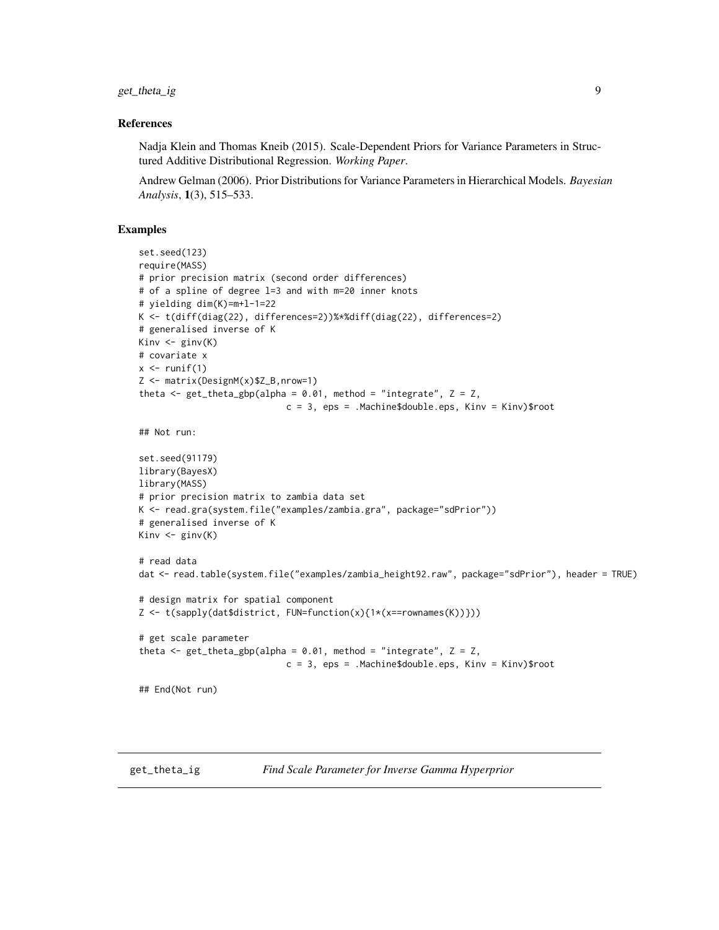<span id="page-8-0"></span>get\_theta\_ig 9

#### References

Nadja Klein and Thomas Kneib (2015). Scale-Dependent Priors for Variance Parameters in Structured Additive Distributional Regression. *Working Paper*.

Andrew Gelman (2006). Prior Distributions for Variance Parameters in Hierarchical Models. *Bayesian Analysis*, 1(3), 515–533.

# Examples

```
set.seed(123)
require(MASS)
# prior precision matrix (second order differences)
# of a spline of degree l=3 and with m=20 inner knots
# yielding dim(K)=m+l-1=22
K <- t(diff(diag(22), differences=2))%*%diff(diag(22), differences=2)
# generalised inverse of K
Kinv \leftarrow ginv(K)# covariate x
x \leftarrow runif(1)Z <- matrix(DesignM(x)$Z_B,nrow=1)
theta \leq get_theta_gbp(alpha = 0.01, method = "integrate", Z = Z,
                            c = 3, eps = .Machine$double.eps, Kinv = Kinv)$root
## Not run:
set.seed(91179)
library(BayesX)
library(MASS)
# prior precision matrix to zambia data set
K <- read.gra(system.file("examples/zambia.gra", package="sdPrior"))
# generalised inverse of K
Kinv \leftarrow ginv(K)# read data
dat <- read.table(system.file("examples/zambia_height92.raw", package="sdPrior"), header = TRUE)
# design matrix for spatial component
Z <- t(sapply(dat$district, FUN=function(x){1*(x==rownames(K))}))
# get scale parameter
theta \leq get_theta_gbp(alpha = 0.01, method = "integrate", Z = Z,
                             c = 3, eps = .Machine$double.eps, Kinv = Kinv)$root
## End(Not run)
```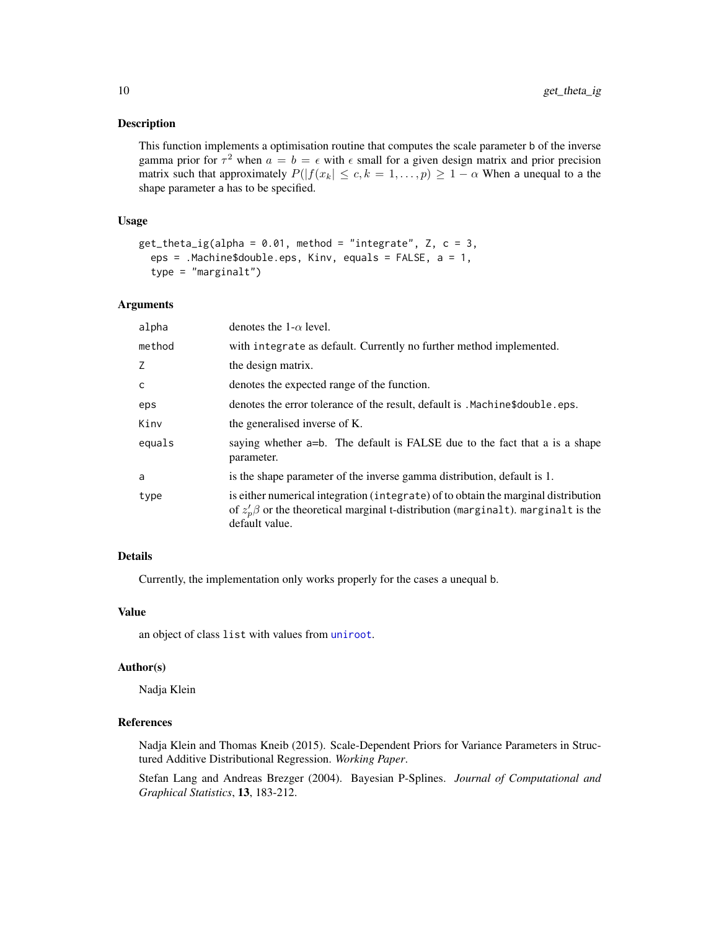#### <span id="page-9-0"></span>Description

This function implements a optimisation routine that computes the scale parameter b of the inverse gamma prior for  $\tau^2$  when  $a = b = \epsilon$  with  $\epsilon$  small for a given design matrix and prior precision matrix such that approximately  $P(|f(x_k| \leq c, k = 1, \ldots, p) \geq 1 - \alpha$  When a unequal to a the shape parameter a has to be specified.

#### Usage

```
get\_theta\_ig(alpha = 0.01, method = "integrate", Z, c = 3,eps = .Machine$double.eps, Kinv, equals = FALSE, a = 1,
  type = "marginalt")
```
# Arguments

| alpha  | denotes the 1- $\alpha$ level.                                                                                                                                                                  |
|--------|-------------------------------------------------------------------------------------------------------------------------------------------------------------------------------------------------|
| method | with integrate as default. Currently no further method implemented.                                                                                                                             |
| Z      | the design matrix.                                                                                                                                                                              |
| C      | denotes the expected range of the function.                                                                                                                                                     |
| eps    | denotes the error tolerance of the result, default is . Machine\$double.eps.                                                                                                                    |
| Kinv   | the generalised inverse of K.                                                                                                                                                                   |
| equals | saying whether a=b. The default is FALSE due to the fact that a is a shape<br>parameter.                                                                                                        |
| a      | is the shape parameter of the inverse gamma distribution, default is 1.                                                                                                                         |
| type   | is either numerical integration (integrate) of to obtain the marginal distribution<br>of $z'_n\beta$ or the theoretical marginal t-distribution (marginalt). marginalt is the<br>default value. |

# Details

Currently, the implementation only works properly for the cases a unequal b.

#### Value

an object of class list with values from [uniroot](#page-0-0).

#### Author(s)

Nadja Klein

# References

Nadja Klein and Thomas Kneib (2015). Scale-Dependent Priors for Variance Parameters in Structured Additive Distributional Regression. *Working Paper*.

Stefan Lang and Andreas Brezger (2004). Bayesian P-Splines. *Journal of Computational and Graphical Statistics*, 13, 183-212.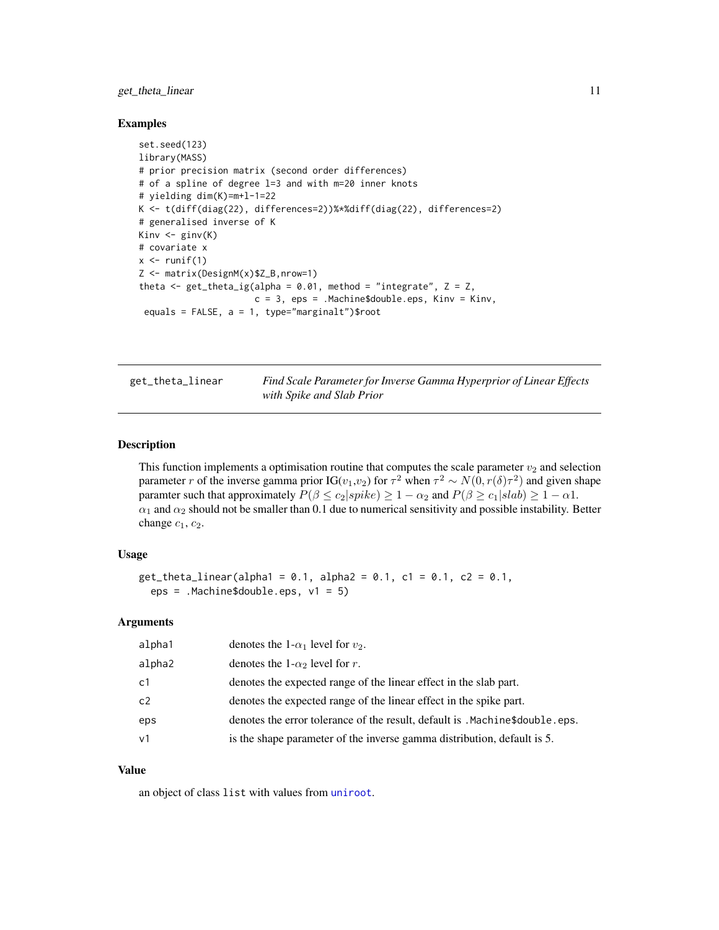# <span id="page-10-0"></span>get\_theta\_linear 11

### Examples

```
set.seed(123)
library(MASS)
# prior precision matrix (second order differences)
# of a spline of degree l=3 and with m=20 inner knots
# yielding dim(K)=m+l-1=22
K <- t(diff(diag(22), differences=2))%*%diff(diag(22), differences=2)
# generalised inverse of K
Kinv \leftarrow ginv(K)# covariate x
x \leftarrow runif(1)Z <- matrix(DesignM(x)$Z_B,nrow=1)
theta \leq get_theta_ig(alpha = 0.01, method = "integrate", Z = Z,
                      c = 3, eps = .Machine$double.eps, Kinv = Kinv,
 equals = FALSE, a = 1, type="marginalt")$root
```
get\_theta\_linear *Find Scale Parameter for Inverse Gamma Hyperprior of Linear Effects with Spike and Slab Prior*

# Description

This function implements a optimisation routine that computes the scale parameter  $v_2$  and selection parameter r of the inverse gamma prior IG( $v_1, v_2$ ) for  $\tau^2$  when  $\tau^2 \sim N(0, r(\delta)\tau^2)$  and given shape paramter such that approximately  $P(\beta \le c_2|spike) \ge 1 - \alpha_2$  and  $P(\beta \ge c_1|slab) \ge 1 - \alpha_1$ .  $\alpha_1$  and  $\alpha_2$  should not be smaller than 0.1 due to numerical sensitivity and possible instability. Better change  $c_1$ ,  $c_2$ .

#### Usage

```
get_theta_linear(alpha1 = 0.1, alpha2 = 0.1, c1 = 0.1, c2 = 0.1,
  eps = .Machine$double.eps, v1 = 5)
```
# Arguments

| alpha1         | denotes the 1- $\alpha_1$ level for $v_2$ .                                  |
|----------------|------------------------------------------------------------------------------|
| alpha2         | denotes the 1- $\alpha_2$ level for r.                                       |
| c <sub>1</sub> | denotes the expected range of the linear effect in the slab part.            |
| c2             | denotes the expected range of the linear effect in the spike part.           |
| eps            | denotes the error tolerance of the result, default is . Machine\$double.eps. |
| v <sub>1</sub> | is the shape parameter of the inverse gamma distribution, default is 5.      |

# Value

an object of class list with values from [uniroot](#page-0-0).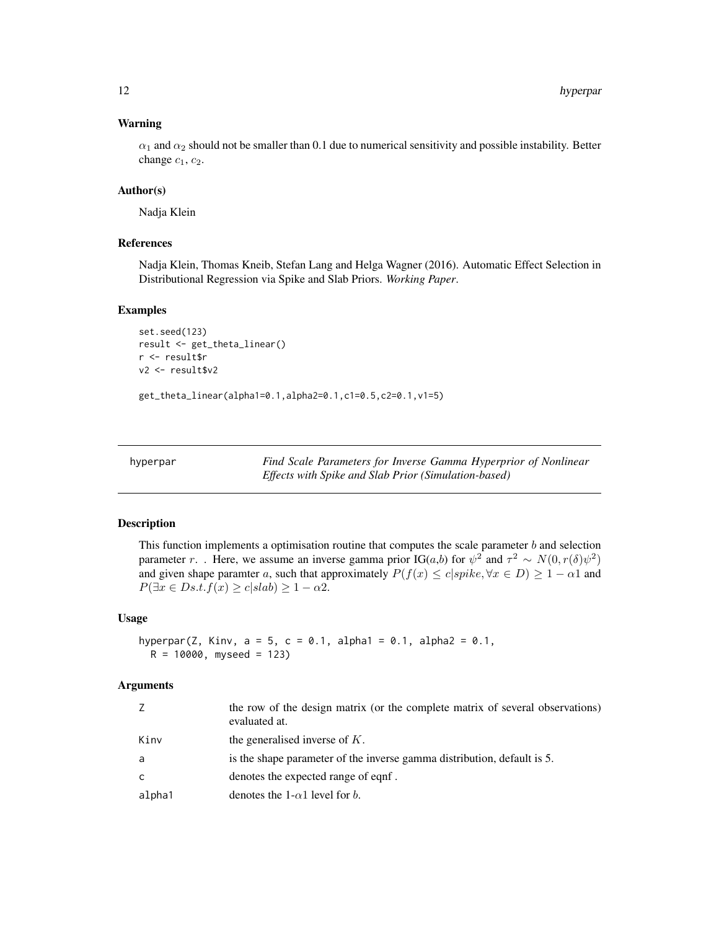# <span id="page-11-0"></span>Warning

 $\alpha_1$  and  $\alpha_2$  should not be smaller than 0.1 due to numerical sensitivity and possible instability. Better change  $c_1$ ,  $c_2$ .

# Author(s)

Nadja Klein

# References

Nadja Klein, Thomas Kneib, Stefan Lang and Helga Wagner (2016). Automatic Effect Selection in Distributional Regression via Spike and Slab Priors. *Working Paper*.

# Examples

```
set.seed(123)
result <- get_theta_linear()
r <- result$r
v2 <- result$v2
```
get\_theta\_linear(alpha1=0.1,alpha2=0.1,c1=0.5,c2=0.1,v1=5)

hyperpar *Find Scale Parameters for Inverse Gamma Hyperprior of Nonlinear Effects with Spike and Slab Prior (Simulation-based)*

#### Description

This function implements a optimisation routine that computes the scale parameter  $b$  and selection parameter r. . Here, we assume an inverse gamma prior IG(*a*,*b*) for  $\psi^2$  and  $\tau^2 \sim N(0, r(\delta)\psi^2)$ and given shape paramter a, such that approximately  $P(f(x) \le c | spike, \forall x \in D) \ge 1 - \alpha 1$  and  $P(\exists x \in Ds.t. f(x) \ge c | slab) \ge 1 - \alpha 2.$ 

#### Usage

```
hyperpar(Z, Kinv, a = 5, c = 0.1, alpha1 = 0.1, alpha2 = 0.1,
 R = 10000, myseed = 123)
```

| Z      | the row of the design matrix (or the complete matrix of several observations)<br>evaluated at. |
|--------|------------------------------------------------------------------------------------------------|
| Kinv   | the generalised inverse of $K$ .                                                               |
| a      | is the shape parameter of the inverse gamma distribution, default is 5.                        |
| C      | denotes the expected range of eqnf.                                                            |
| alpha1 | denotes the 1- $\alpha$ 1 level for b.                                                         |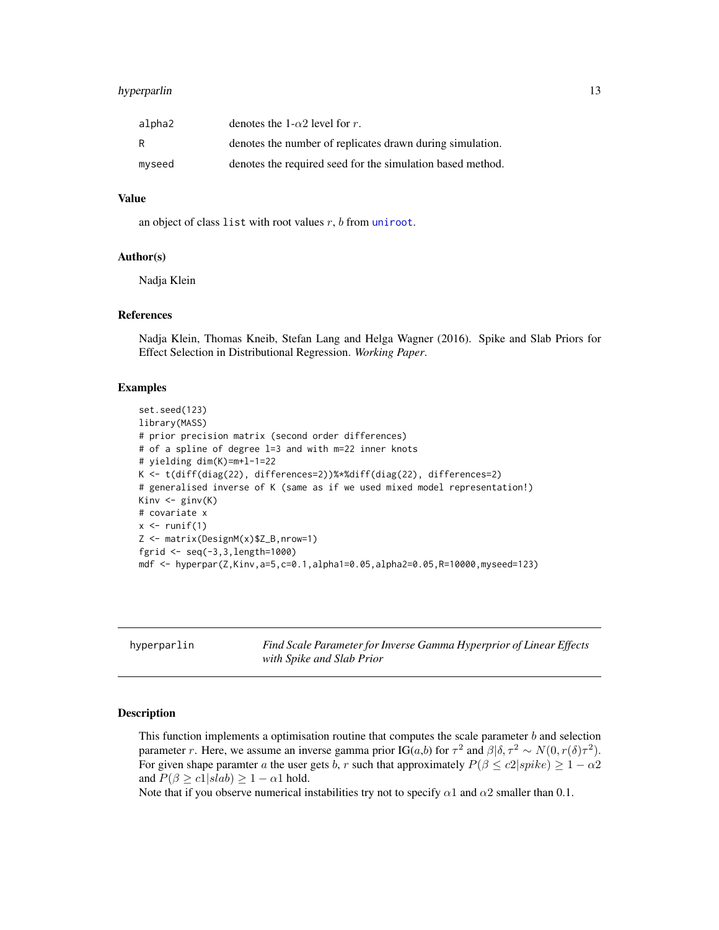# <span id="page-12-0"></span>hyperparlin 13

| alpha2 | denotes the 1- $\alpha$ 2 level for r.                     |
|--------|------------------------------------------------------------|
| R      | denotes the number of replicates drawn during simulation.  |
| myseed | denotes the required seed for the simulation based method. |

# Value

an object of class list with root values  $r$ ,  $b$  from [uniroot](#page-0-0).

# Author(s)

Nadja Klein

#### References

Nadja Klein, Thomas Kneib, Stefan Lang and Helga Wagner (2016). Spike and Slab Priors for Effect Selection in Distributional Regression. *Working Paper*.

# Examples

```
set.seed(123)
library(MASS)
# prior precision matrix (second order differences)
# of a spline of degree l=3 and with m=22 inner knots
# yielding dim(K)=m+l-1=22
K <- t(diff(diag(22), differences=2))%*%diff(diag(22), differences=2)
# generalised inverse of K (same as if we used mixed model representation!)
Kinv <- ginv(K)
# covariate x
x \leftarrow runif(1)Z <- matrix(DesignM(x)$Z_B,nrow=1)
fgrid <- seq(-3,3,length=1000)
mdf <- hyperpar(Z,Kinv,a=5,c=0.1,alpha1=0.05,alpha2=0.05,R=10000,myseed=123)
```

|  | hyperparlin |
|--|-------------|

hyperparlin *Find Scale Parameter for Inverse Gamma Hyperprior of Linear Effects with Spike and Slab Prior*

#### Description

This function implements a optimisation routine that computes the scale parameter  $b$  and selection parameter r. Here, we assume an inverse gamma prior IG(*a*,*b*) for  $\tau^2$  and  $\beta | \delta, \tau^2 \sim N(0, r(\delta) \tau^2)$ . For given shape paramter a the user gets b, r such that approximately  $P(\beta \leq c2|spike) \geq 1 - \alpha 2$ and  $P(\beta \ge c1|slab) \ge 1 - \alpha 1$  hold.

Note that if you observe numerical instabilities try not to specify  $\alpha$ 1 and  $\alpha$ 2 smaller than 0.1.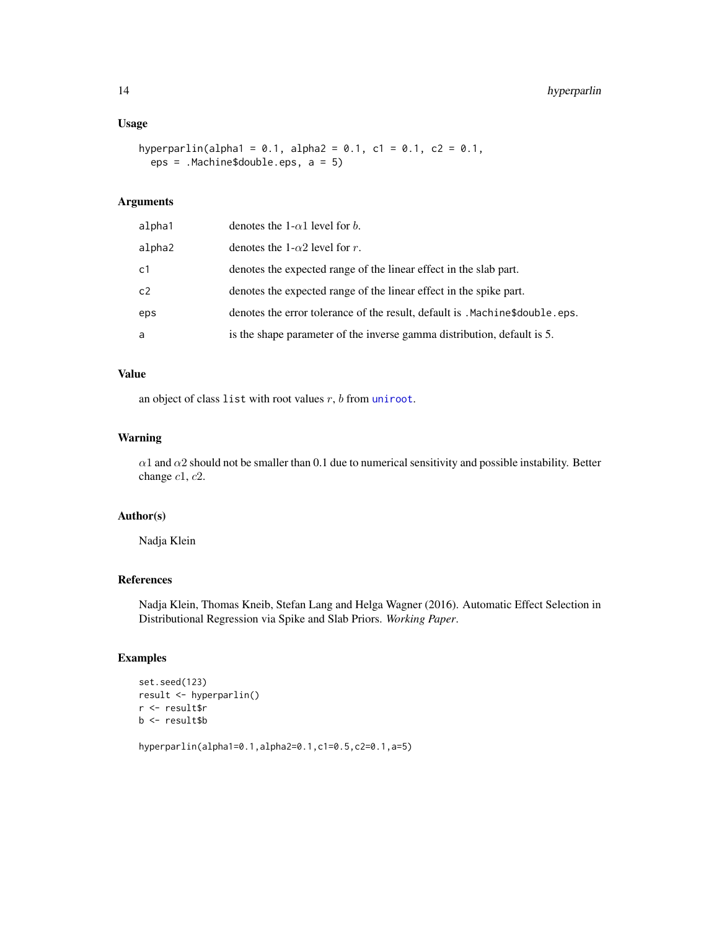# <span id="page-13-0"></span>Usage

```
hyperparlin(alpha1 = 0.1, alpha2 = 0.1, c1 = 0.1, c2 = 0.1,
 eps = .Machine$double.eps, a = 5)
```
# Arguments

| alpha1 | denotes the 1- $\alpha$ 1 level for b.                                       |
|--------|------------------------------------------------------------------------------|
| alpha2 | denotes the 1- $\alpha$ 2 level for r.                                       |
| c1     | denotes the expected range of the linear effect in the slab part.            |
| c2     | denotes the expected range of the linear effect in the spike part.           |
| eps    | denotes the error tolerance of the result, default is . Machine\$double.eps. |
| a      | is the shape parameter of the inverse gamma distribution, default is 5.      |

# Value

an object of class list with root values  $r$ ,  $b$  from [uniroot](#page-0-0).

# Warning

 $\alpha$ 1 and  $\alpha$ 2 should not be smaller than 0.1 due to numerical sensitivity and possible instability. Better change c1, c2.

# Author(s)

Nadja Klein

# References

Nadja Klein, Thomas Kneib, Stefan Lang and Helga Wagner (2016). Automatic Effect Selection in Distributional Regression via Spike and Slab Priors. *Working Paper*.

# Examples

```
set.seed(123)
result <- hyperparlin()
r <- result$r
b <- result$b
```
hyperparlin(alpha1=0.1,alpha2=0.1,c1=0.5,c2=0.1,a=5)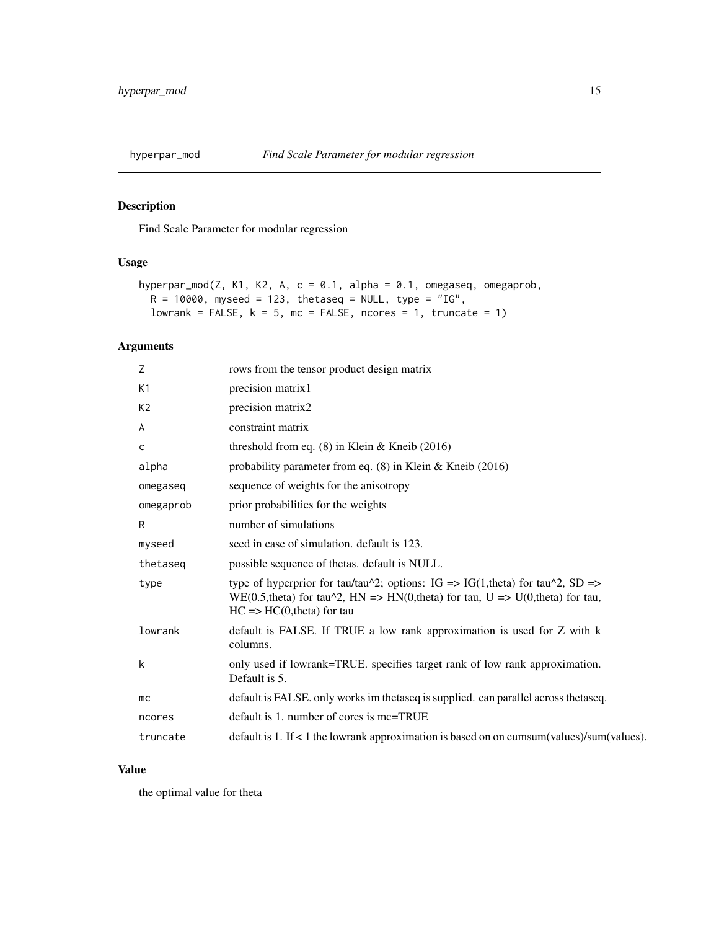<span id="page-14-0"></span>

# Description

Find Scale Parameter for modular regression

# Usage

```
hyperpar_mod(Z, K1, K2, A, c = 0.1, alpha = 0.1, omegaseq, omegaprob,
 R = 10000, myseed = 123, thetaseq = NULL, type = "IG",
 lowrank = FALSE, k = 5, mc = FALSE, ncores = 1, truncate = 1)
```
# Arguments

| Z              | rows from the tensor product design matrix                                                                                                                                                                          |
|----------------|---------------------------------------------------------------------------------------------------------------------------------------------------------------------------------------------------------------------|
| K1             | precision matrix1                                                                                                                                                                                                   |
| K <sub>2</sub> | precision matrix2                                                                                                                                                                                                   |
| A              | constraint matrix                                                                                                                                                                                                   |
| $\mathsf{C}$   | threshold from eq. $(8)$ in Klein & Kneib $(2016)$                                                                                                                                                                  |
| alpha          | probability parameter from eq. $(8)$ in Klein & Kneib (2016)                                                                                                                                                        |
| omegaseq       | sequence of weights for the anisotropy                                                                                                                                                                              |
| omegaprob      | prior probabilities for the weights                                                                                                                                                                                 |
| R              | number of simulations                                                                                                                                                                                               |
| myseed         | seed in case of simulation, default is 123.                                                                                                                                                                         |
| thetaseg       | possible sequence of thetas. default is NULL.                                                                                                                                                                       |
| type           | type of hyperprior for tau/tau^2; options: IG => IG(1,theta) for tau^2, SD =><br>WE(0.5, theta) for tau $\text{Y2}$ , HN => HN(0, theta) for tau, U => U(0, theta) for tau,<br>$HC \Rightarrow HC(0,theta)$ for tau |
| lowrank        | default is FALSE. If TRUE a low rank approximation is used for Z with k<br>columns.                                                                                                                                 |
| k              | only used if lowrank=TRUE. specifies target rank of low rank approximation.<br>Default is 5.                                                                                                                        |
| mc             | default is FALSE. only works im the tase q is supplied. can parallel across the tase q.                                                                                                                             |
| ncores         | $default$ is 1. number of cores is mc=TRUE                                                                                                                                                                          |
| truncate       | default is 1. If $<$ 1 the lowrank approximation is based on on cumsum(values)/sum(values).                                                                                                                         |

# Value

the optimal value for theta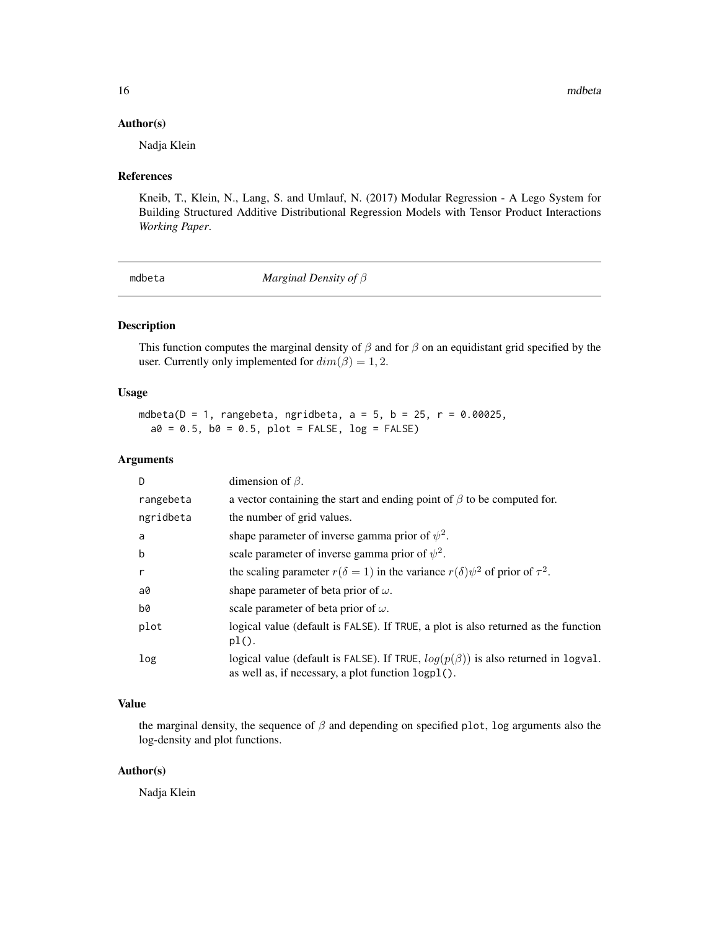#### <span id="page-15-0"></span>Author(s)

Nadja Klein

# References

Kneib, T., Klein, N., Lang, S. and Umlauf, N. (2017) Modular Regression - A Lego System for Building Structured Additive Distributional Regression Models with Tensor Product Interactions *Working Paper*.

mdbeta *Marginal Density of* β

# Description

This function computes the marginal density of  $\beta$  and for  $\beta$  on an equidistant grid specified by the user. Currently only implemented for  $dim(\beta) = 1, 2$ .

# Usage

```
mdbeta(D = 1, rangebeta, ngridbeta, a = 5, b = 25, r = 0.00025,
 a0 = 0.5, b0 = 0.5, plot = FALSE, log = FALSE)
```
# Arguments

| D         | dimension of $\beta$ .                                                                                                                          |
|-----------|-------------------------------------------------------------------------------------------------------------------------------------------------|
| rangebeta | a vector containing the start and ending point of $\beta$ to be computed for.                                                                   |
| ngridbeta | the number of grid values.                                                                                                                      |
| a         | shape parameter of inverse gamma prior of $\psi^2$ .                                                                                            |
| b         | scale parameter of inverse gamma prior of $\psi^2$ .                                                                                            |
| r         | the scaling parameter $r(\delta = 1)$ in the variance $r(\delta)\psi^2$ of prior of $\tau^2$ .                                                  |
| a0        | shape parameter of beta prior of $\omega$ .                                                                                                     |
| b0        | scale parameter of beta prior of $\omega$ .                                                                                                     |
| plot      | logical value (default is FALSE). If TRUE, a plot is also returned as the function<br>$pl()$ .                                                  |
| log       | logical value (default is FALSE). If TRUE, $log(p(\beta))$ is also returned in logval.<br>as well as, if necessary, a plot function $logpl()$ . |

# Value

the marginal density, the sequence of  $\beta$  and depending on specified plot, log arguments also the log-density and plot functions.

# Author(s)

Nadja Klein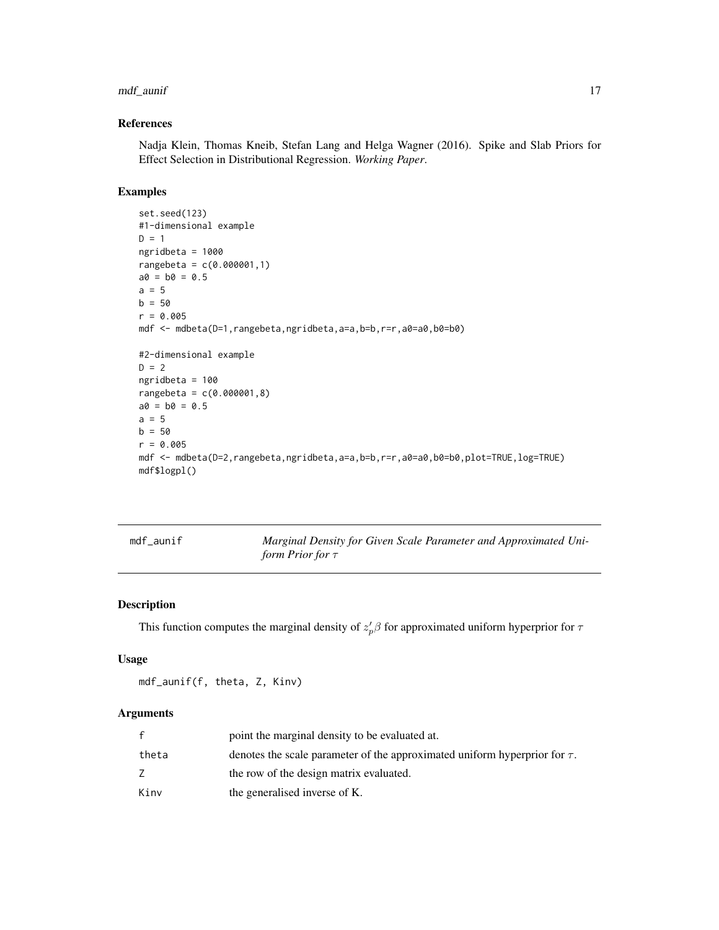# <span id="page-16-0"></span>mdf\_aunif 17

# References

Nadja Klein, Thomas Kneib, Stefan Lang and Helga Wagner (2016). Spike and Slab Priors for Effect Selection in Distributional Regression. *Working Paper*.

# Examples

```
set.seed(123)
#1-dimensional example
D = 1ngridbeta = 1000
rangebeta = c(0.000001,1)
a0 = b0 = 0.5a = 5b = 50r = 0.005mdf <- mdbeta(D=1,rangebeta,ngridbeta,a=a,b=b,r=r,a0=a0,b0=b0)
#2-dimensional example
D = 2ngridbeta = 100
rangebeta = c(0.000001, 8)a0 = b0 = 0.5a = 5b = 50r = 0.005mdf <- mdbeta(D=2,rangebeta,ngridbeta,a=a,b=b,r=r,a0=a0,b0=b0,plot=TRUE,log=TRUE)
mdf$logpl()
```

| mdf_aunif | Marginal Density for Given Scale Parameter and Approximated Uni- |
|-----------|------------------------------------------------------------------|
|           | form Prior for $\tau$                                            |

# Description

This function computes the marginal density of  $z_p^{\prime}\beta$  for approximated uniform hyperprior for  $\tau$ 

#### Usage

```
mdf_aunif(f, theta, Z, Kinv)
```

|       | point the marginal density to be evaluated at.                                  |
|-------|---------------------------------------------------------------------------------|
| theta | denotes the scale parameter of the approximated uniform hyperprior for $\tau$ . |
|       | the row of the design matrix evaluated.                                         |
| Kinv  | the generalised inverse of K.                                                   |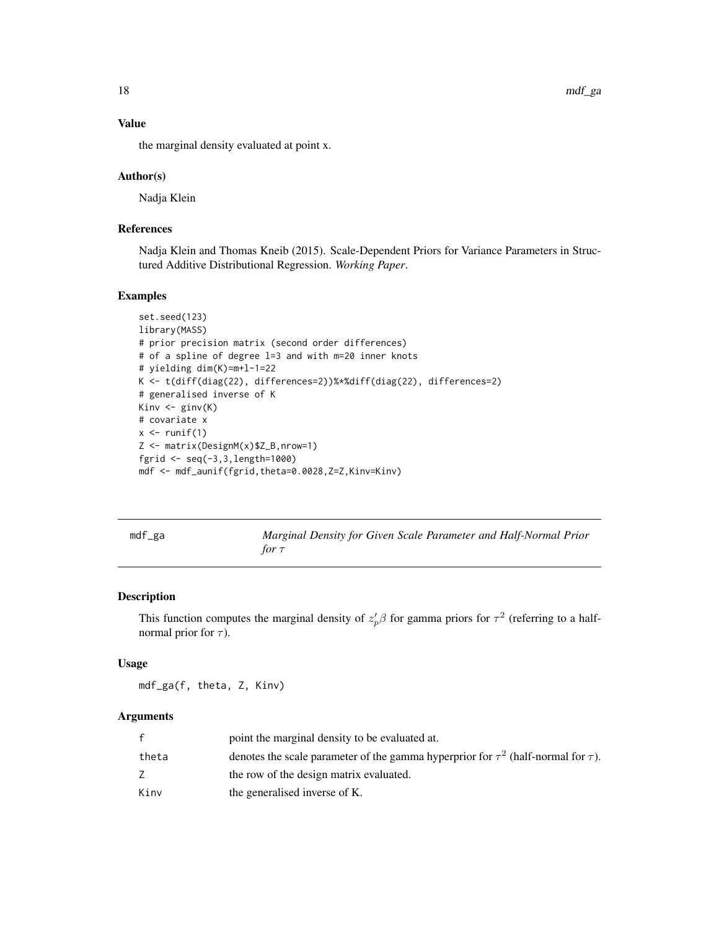18 mdf\_ga

# Value

the marginal density evaluated at point x.

# Author(s)

Nadja Klein

# References

Nadja Klein and Thomas Kneib (2015). Scale-Dependent Priors for Variance Parameters in Structured Additive Distributional Regression. *Working Paper*.

# Examples

```
set.seed(123)
library(MASS)
# prior precision matrix (second order differences)
# of a spline of degree l=3 and with m=20 inner knots
# yielding dim(K)=m+l-1=22
K <- t(diff(diag(22), differences=2))%*%diff(diag(22), differences=2)
# generalised inverse of K
Kinv <- ginv(K)
# covariate x
x \leftarrow runif(1)Z <- matrix(DesignM(x)$Z_B,nrow=1)
fgrid <- seq(-3,3,length=1000)
mdf <- mdf_aunif(fgrid,theta=0.0028,Z=Z,Kinv=Kinv)
```
mdf\_ga *Marginal Density for Given Scale Parameter and Half-Normal Prior for* τ

# Description

This function computes the marginal density of  $z_p^{\prime}\beta$  for gamma priors for  $\tau^2$  (referring to a halfnormal prior for  $\tau$ ).

#### Usage

mdf\_ga(f, theta, Z, Kinv)

|       | point the marginal density to be evaluated at.                                              |
|-------|---------------------------------------------------------------------------------------------|
| theta | denotes the scale parameter of the gamma hyperprior for $\tau^2$ (half-normal for $\tau$ ). |
|       | the row of the design matrix evaluated.                                                     |
| Kinv  | the generalised inverse of K.                                                               |

<span id="page-17-0"></span>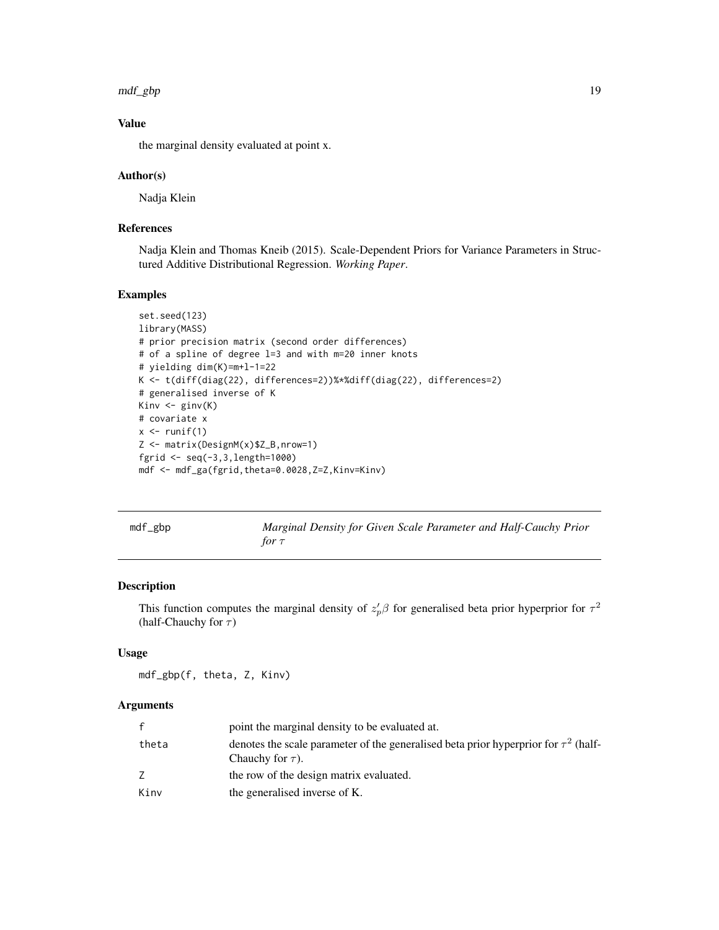<span id="page-18-0"></span>mdf\_gbp 19

# Value

the marginal density evaluated at point x.

#### Author(s)

Nadja Klein

# References

Nadja Klein and Thomas Kneib (2015). Scale-Dependent Priors for Variance Parameters in Structured Additive Distributional Regression. *Working Paper*.

# Examples

```
set.seed(123)
library(MASS)
# prior precision matrix (second order differences)
# of a spline of degree l=3 and with m=20 inner knots
# yielding dim(K)=m+l-1=22
K <- t(diff(diag(22), differences=2))%*%diff(diag(22), differences=2)
# generalised inverse of K
Kinv <- ginv(K)
# covariate x
x \leftarrow runif(1)Z <- matrix(DesignM(x)$Z_B,nrow=1)
fgrid <- seq(-3,3,length=1000)
mdf <- mdf_ga(fgrid,theta=0.0028,Z=Z,Kinv=Kinv)
```
mdf\_gbp *Marginal Density for Given Scale Parameter and Half-Cauchy Prior for* τ

#### Description

This function computes the marginal density of  $z_p^{\prime}\beta$  for generalised beta prior hyperprior for  $\tau^2$ (half-Chauchy for  $\tau$ )

# Usage

mdf\_gbp(f, theta, Z, Kinv)

|       | point the marginal density to be evaluated at.                                                                    |
|-------|-------------------------------------------------------------------------------------------------------------------|
| theta | denotes the scale parameter of the generalised beta prior hyperprior for $\tau^2$ (half-<br>Chauchy for $\tau$ ). |
|       | the row of the design matrix evaluated.                                                                           |
| Kinv  | the generalised inverse of K.                                                                                     |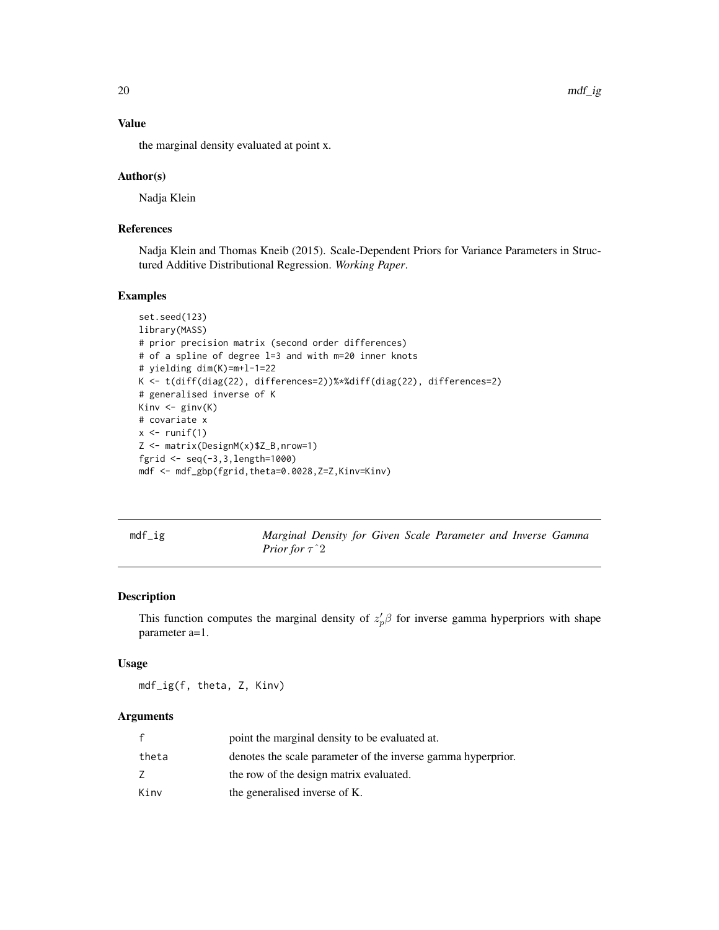20 mdf\_ig

# Value

the marginal density evaluated at point x.

# Author(s)

Nadja Klein

# References

Nadja Klein and Thomas Kneib (2015). Scale-Dependent Priors for Variance Parameters in Structured Additive Distributional Regression. *Working Paper*.

# Examples

```
set.seed(123)
library(MASS)
# prior precision matrix (second order differences)
# of a spline of degree l=3 and with m=20 inner knots
# yielding dim(K)=m+l-1=22
K <- t(diff(diag(22), differences=2))%*%diff(diag(22), differences=2)
# generalised inverse of K
Kinv <- ginv(K)
# covariate x
x \leftarrow runif(1)Z <- matrix(DesignM(x)$Z_B,nrow=1)
fgrid <- seq(-3,3,length=1000)
mdf <- mdf_gbp(fgrid,theta=0.0028,Z=Z,Kinv=Kinv)
```
mdf\_ig *Marginal Density for Given Scale Parameter and Inverse Gamma Prior for* τˆ2

#### Description

This function computes the marginal density of  $z_p^{\prime} \beta$  for inverse gamma hyperpriors with shape parameter a=1.

#### Usage

mdf\_ig(f, theta, Z, Kinv)

| f     | point the marginal density to be evaluated at.               |
|-------|--------------------------------------------------------------|
| theta | denotes the scale parameter of the inverse gamma hyperprior. |
|       | the row of the design matrix evaluated.                      |
| Kinv  | the generalised inverse of K.                                |

<span id="page-19-0"></span>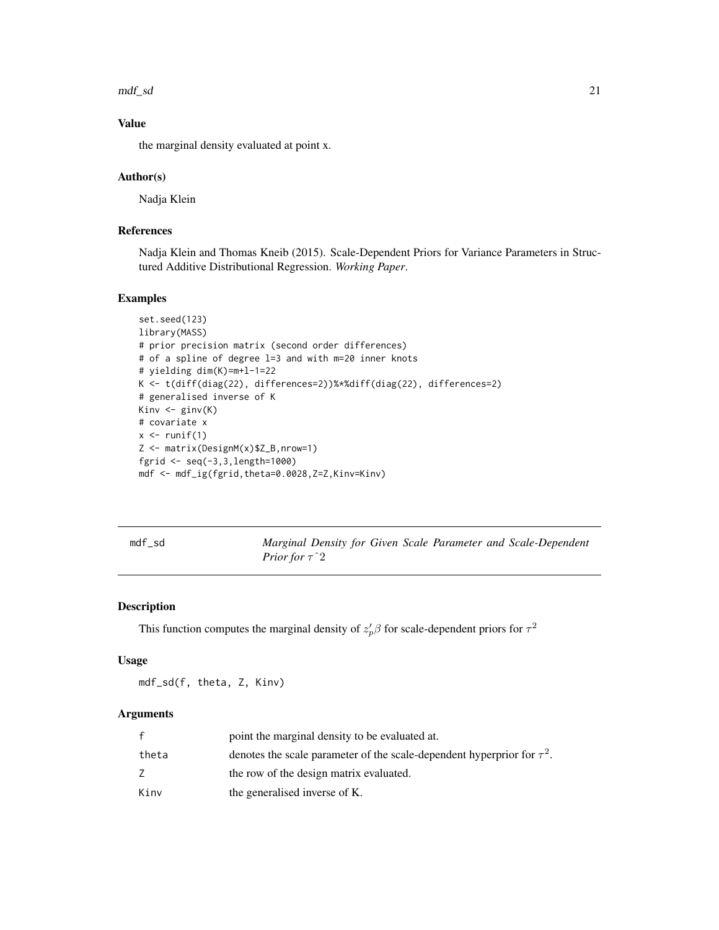<span id="page-20-0"></span> $mdf_s$  and  $21$ 

# Value

the marginal density evaluated at point x.

#### Author(s)

Nadja Klein

# References

Nadja Klein and Thomas Kneib (2015). Scale-Dependent Priors for Variance Parameters in Structured Additive Distributional Regression. *Working Paper*.

# Examples

```
set.seed(123)
library(MASS)
# prior precision matrix (second order differences)
# of a spline of degree l=3 and with m=20 inner knots
# yielding dim(K)=m+l-1=22
K <- t(diff(diag(22), differences=2))%*%diff(diag(22), differences=2)
# generalised inverse of K
Kinv \leftarrow ginv(K)# covariate x
x \leftarrow runif(1)Z <- matrix(DesignM(x)$Z_B,nrow=1)
fgrid <- seq(-3,3,length=1000)
mdf <- mdf_ig(fgrid,theta=0.0028,Z=Z,Kinv=Kinv)
```
mdf\_sd *Marginal Density for Given Scale Parameter and Scale-Dependent Prior for* τˆ2

# Description

This function computes the marginal density of  $z_p^{\prime}\beta$  for scale-dependent priors for  $\tau^2$ 

#### Usage

mdf\_sd(f, theta, Z, Kinv)

|       | point the marginal density to be evaluated at.                               |
|-------|------------------------------------------------------------------------------|
| theta | denotes the scale parameter of the scale-dependent hyperprior for $\tau^2$ . |
|       | the row of the design matrix evaluated.                                      |
| Kinv  | the generalised inverse of K.                                                |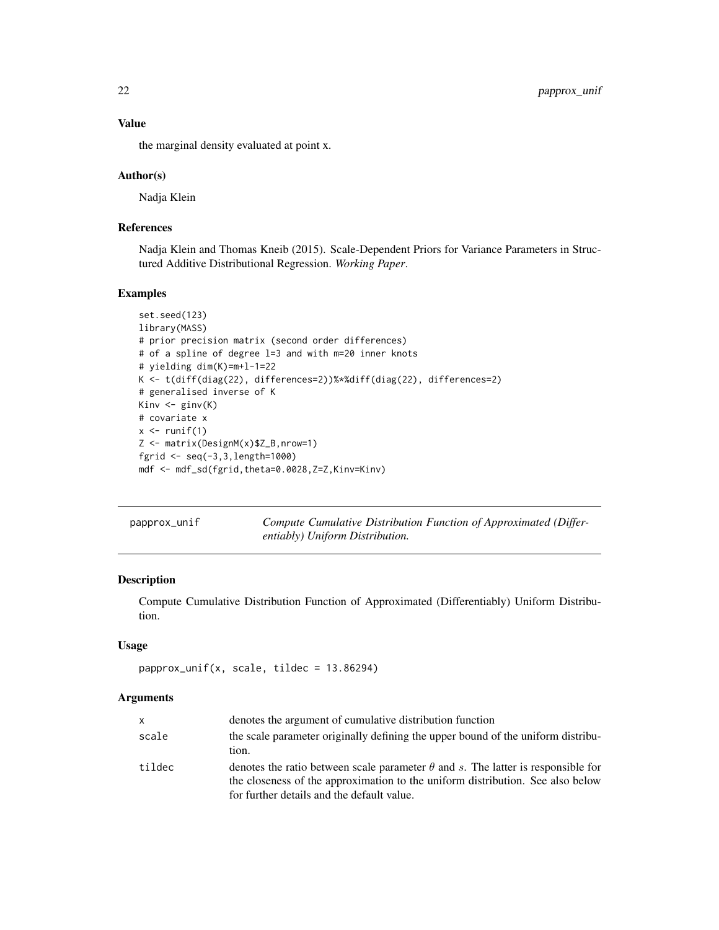# Value

the marginal density evaluated at point x.

#### Author(s)

Nadja Klein

# References

Nadja Klein and Thomas Kneib (2015). Scale-Dependent Priors for Variance Parameters in Structured Additive Distributional Regression. *Working Paper*.

### Examples

```
set.seed(123)
library(MASS)
# prior precision matrix (second order differences)
# of a spline of degree l=3 and with m=20 inner knots
# yielding dim(K)=m+l-1=22
K <- t(diff(diag(22), differences=2))%*%diff(diag(22), differences=2)
# generalised inverse of K
Kinv <- ginv(K)
# covariate x
x \leftarrow runif(1)Z <- matrix(DesignM(x)$Z_B,nrow=1)
fgrid <- seq(-3,3,length=1000)
mdf <- mdf_sd(fgrid,theta=0.0028,Z=Z,Kinv=Kinv)
```
<span id="page-21-1"></span>

| papprox_unif | Compute Cumulative Distribution Function of Approximated (Differ- |
|--------------|-------------------------------------------------------------------|
|              | entiably) Uniform Distribution.                                   |

# Description

Compute Cumulative Distribution Function of Approximated (Differentiably) Uniform Distribution.

# Usage

```
papprox_unif(x, scale, tildec = 13.86294)
```

| <b>X</b> | denotes the argument of cumulative distribution function                                                                                                                                                                |
|----------|-------------------------------------------------------------------------------------------------------------------------------------------------------------------------------------------------------------------------|
| scale    | the scale parameter originally defining the upper bound of the uniform distribu-<br>tion.                                                                                                                               |
| tildec   | denotes the ratio between scale parameter $\theta$ and s. The latter is responsible for<br>the closeness of the approximation to the uniform distribution. See also below<br>for further details and the default value. |

<span id="page-21-0"></span>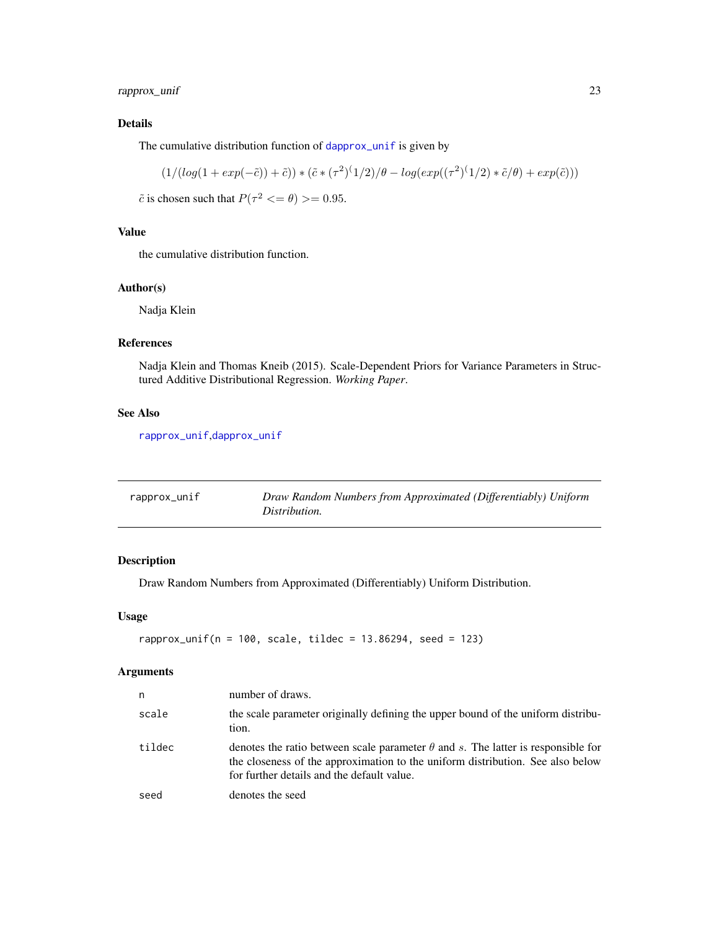<span id="page-22-0"></span>rapprox\_unif 23

# Details

The cumulative distribution function of [dapprox\\_unif](#page-1-1) is given by

$$
(1/(log(1+exp(-\tilde{c}))+\tilde{c})) * (\tilde{c} * (\tau^2)^{(1/2)}/\theta - log(exp((\tau^2)^{(1/2)} * \tilde{c}/\theta) + exp(\tilde{c})))
$$

 $\tilde{c}$  is chosen such that  $P(\tau^2 \leq \theta) >= 0.95$ .

# Value

the cumulative distribution function.

#### Author(s)

Nadja Klein

# References

Nadja Klein and Thomas Kneib (2015). Scale-Dependent Priors for Variance Parameters in Structured Additive Distributional Regression. *Working Paper*.

# See Also

[rapprox\\_unif](#page-22-1),[dapprox\\_unif](#page-1-1)

<span id="page-22-1"></span>

| rapprox_unif | Draw Random Numbers from Approximated (Differentiably) Uniform<br>Distribution. |
|--------------|---------------------------------------------------------------------------------|
|              |                                                                                 |

# Description

Draw Random Numbers from Approximated (Differentiably) Uniform Distribution.

# Usage

```
rapprox_unif(n = 100, scale, tildec = 13.86294, seed = 123)
```

| n      | number of draws.                                                                                                                                                                                                        |
|--------|-------------------------------------------------------------------------------------------------------------------------------------------------------------------------------------------------------------------------|
| scale  | the scale parameter originally defining the upper bound of the uniform distribu-<br>tion.                                                                                                                               |
| tildec | denotes the ratio between scale parameter $\theta$ and s. The latter is responsible for<br>the closeness of the approximation to the uniform distribution. See also below<br>for further details and the default value. |
| seed   | denotes the seed                                                                                                                                                                                                        |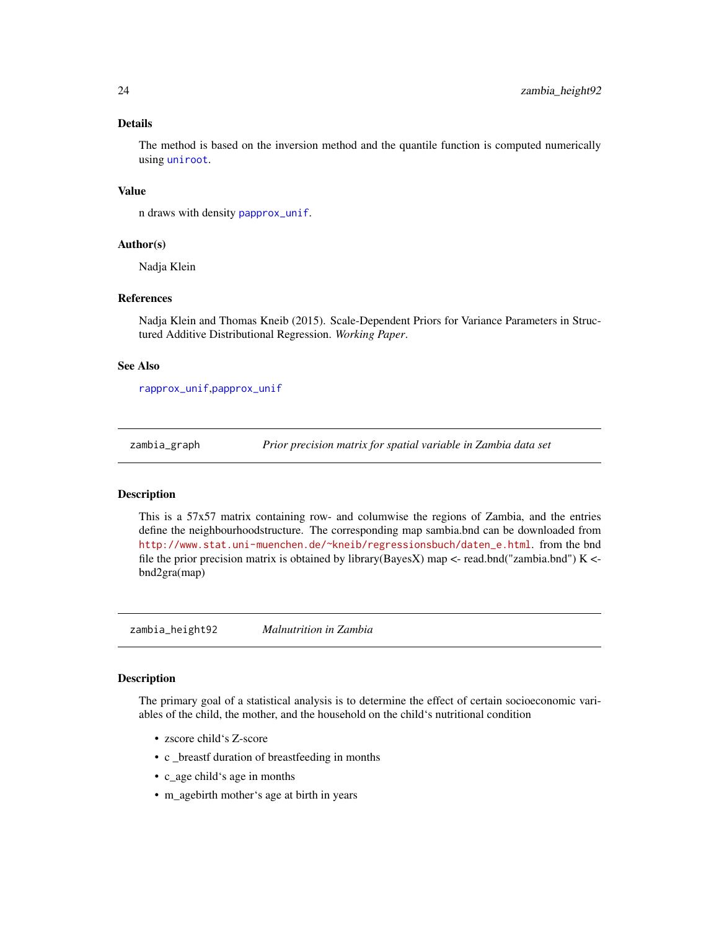# <span id="page-23-0"></span>Details

The method is based on the inversion method and the quantile function is computed numerically using [uniroot](#page-0-0).

#### Value

n draws with density [papprox\\_unif](#page-21-1).

#### Author(s)

Nadja Klein

# References

Nadja Klein and Thomas Kneib (2015). Scale-Dependent Priors for Variance Parameters in Structured Additive Distributional Regression. *Working Paper*.

#### See Also

[rapprox\\_unif](#page-22-1),[papprox\\_unif](#page-21-1)

zambia\_graph *Prior precision matrix for spatial variable in Zambia data set*

#### Description

This is a 57x57 matrix containing row- and columwise the regions of Zambia, and the entries define the neighbourhoodstructure. The corresponding map sambia.bnd can be downloaded from [http://www.stat.uni-muenchen.de/~kneib/regressionsbuch/daten\\_e.html](http://www.stat.uni-muenchen.de/~kneib/regressionsbuch/daten_e.html). from the bnd file the prior precision matrix is obtained by library(BayesX) map  $\lt$ -read.bnd("zambia.bnd") K  $\lt$ bnd2gra(map)

zambia\_height92 *Malnutrition in Zambia*

#### Description

The primary goal of a statistical analysis is to determine the effect of certain socioeconomic variables of the child, the mother, and the household on the child's nutritional condition

- zscore child's Z-score
- c \_breastf duration of breastfeeding in months
- c\_age child's age in months
- m\_agebirth mother's age at birth in years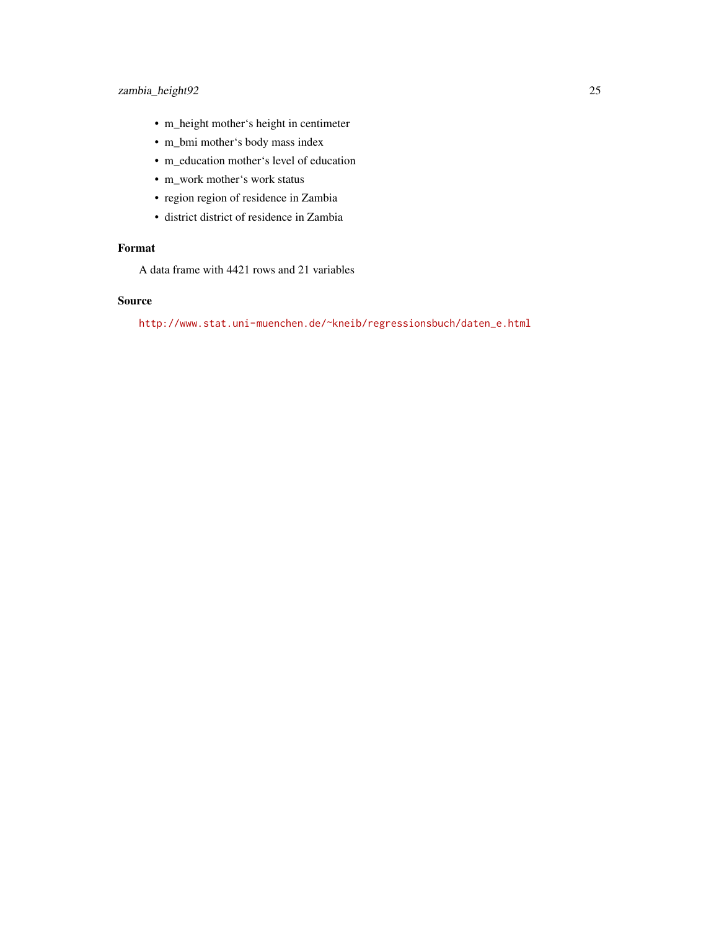# zambia\_height92 25

- m\_height mother's height in centimeter
- m\_bmi mother's body mass index
- m\_education mother's level of education
- m\_work mother's work status
- region region of residence in Zambia
- district district of residence in Zambia

# Format

A data frame with 4421 rows and 21 variables

# Source

[http://www.stat.uni-muenchen.de/~kneib/regressionsbuch/daten\\_e.html](http://www.stat.uni-muenchen.de/~kneib/regressionsbuch/daten_e.html)